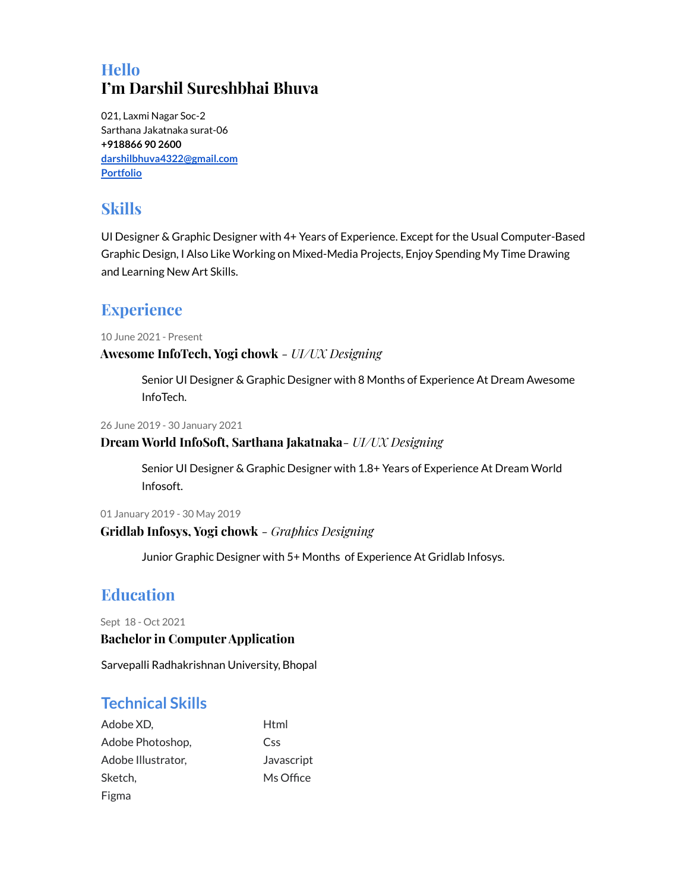# **Hello I'm Darshil Sureshbhai Bhuva**

021, Laxmi Nagar Soc-2 Sarthana Jakatnaka surat-06 **+918866 90 2600 [darshilbhuva4322@gmail.com](mailto:darshilbhuva4322@gmail.com) [Portfolio](http://uxfol.io/29ec6a1c)**

### **Skills**

UI Designer & Graphic Designer with 4+ Years of Experience. Except for the Usual Computer-Based Graphic Design, I Also Like Working on Mixed-Media Projects, Enjoy Spending My Time Drawing and Learning New Art Skills.

## **Experience**

10 June 2021 - Present

**Awesome InfoTech, Yogi chowk** *- UI/UX Designing*

Senior UI Designer & Graphic Designer with 8 Months of Experience At Dream Awesome InfoTech.

26 June 2019 - 30 January 2021

#### **Dream World InfoSoft, Sarthana Jakatnaka***- UI/UX Designing*

Senior UI Designer & Graphic Designer with 1.8+ Years of Experience At Dream World Infosoft.

01 January 2019 - 30 May 2019

#### **Gridlab Infosys, Yogi chowk** *- Graphics Designing*

Junior Graphic Designer with 5+ Months of Experience At Gridlab Infosys.

## **Education**

Sept 18 - Oct 2021

#### **Bachelor in Computer Application**

Sarvepalli Radhakrishnan University, Bhopal

### **Technical Skills**

| Adobe XD,          | Html       |
|--------------------|------------|
| Adobe Photoshop,   | Css        |
| Adobe Illustrator, | Javascript |
| Sketch.            | Ms Office  |
| Figma              |            |